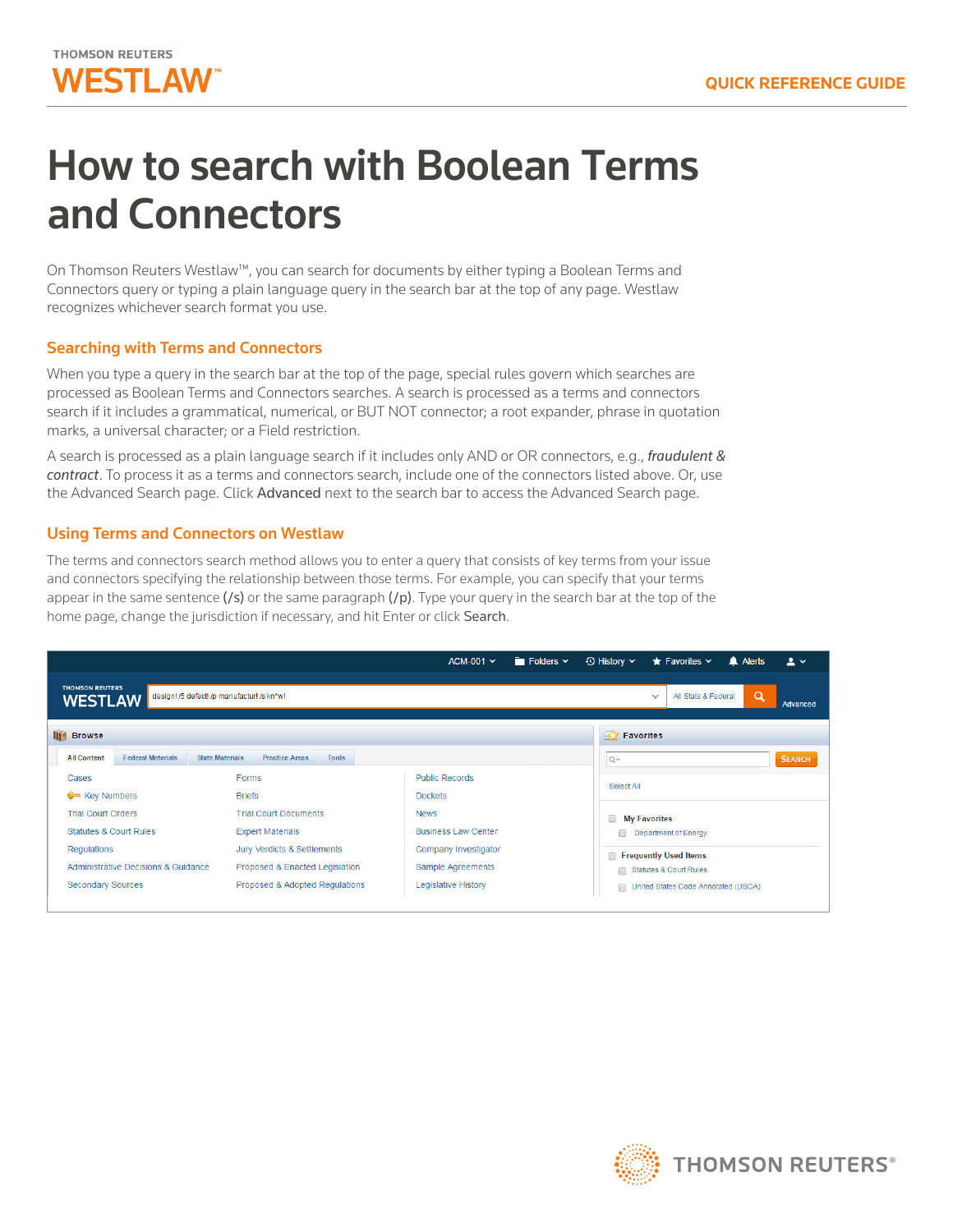

# How to search with Boolean Terms and Connectors

On Thomson Reuters Westlaw™, you can search for documents by either typing a Boolean Terms and Connectors query or typing a plain language query in the search bar at the top of any page. Westlaw recognizes whichever search format you use.

# Searching with Terms and Connectors

When you type a query in the search bar at the top of the page, special rules govern which searches are processed as Boolean Terms and Connectors searches. A search is processed as a terms and connectors search if it includes a grammatical, numerical, or BUT NOT connector; a root expander, phrase in quotation marks, a universal character; or a Field restriction.

A search is processed as a plain language search if it includes only AND or OR connectors, e.g., *fraudulent & contract*. To process it as a terms and connectors search, include one of the connectors listed above. Or, use the Advanced Search page. Click Advanced next to the search bar to access the Advanced Search page.

## Using Terms and Connectors on Westlaw

The terms and connectors search method allows you to enter a query that consists of key terms from your issue and connectors specifying the relationship between those terms. For example, you can specify that your terms appear in the same sentence  $($ /s $)$  or the same paragraph  $($ /p $)$ . Type your query in the search bar at the top of the home page, change the jurisdiction if necessary, and hit Enter or click Search.



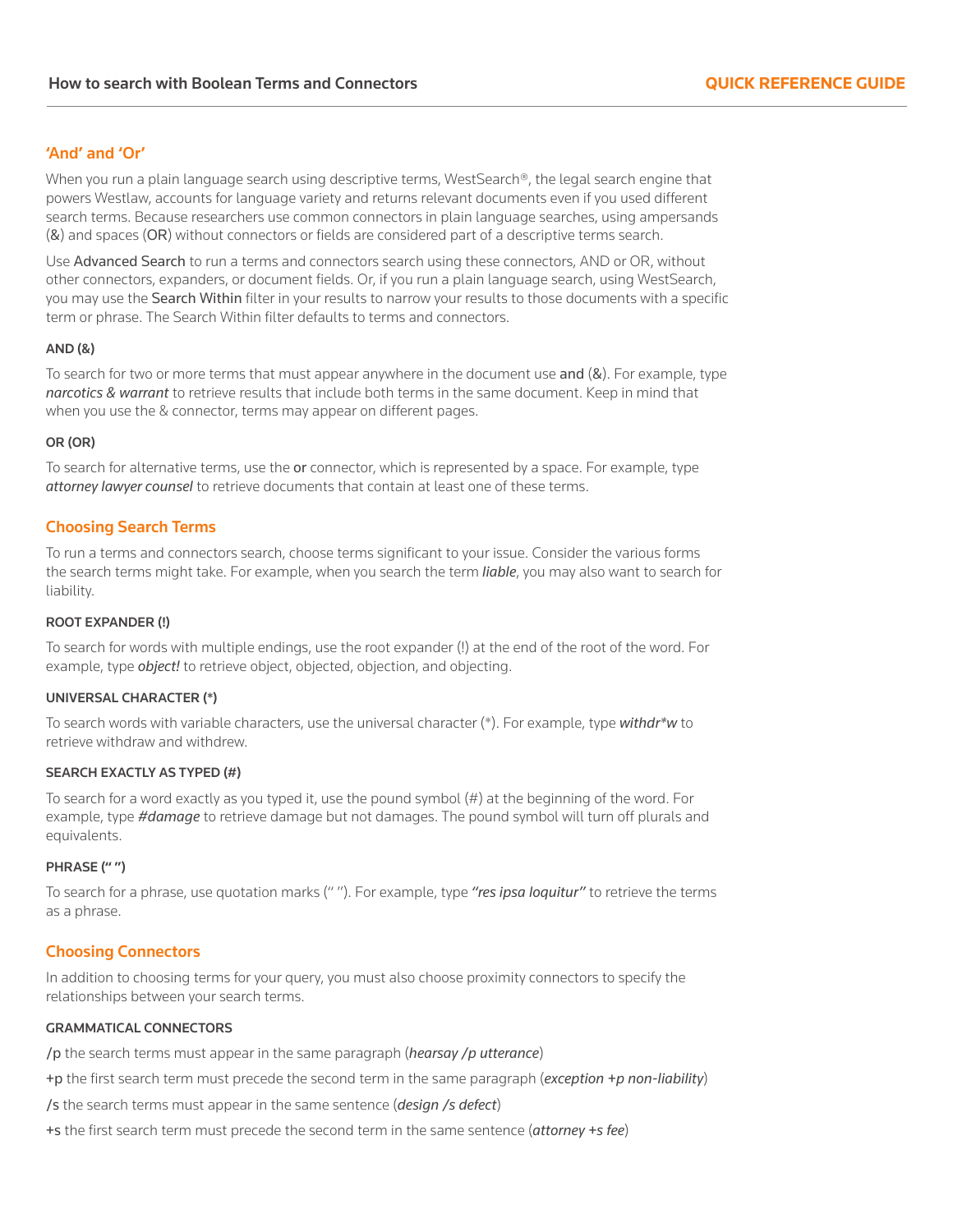# 'And' and 'Or'

When you run a plain language search using descriptive terms, WestSearch®, the legal search engine that powers Westlaw, accounts for language variety and returns relevant documents even if you used different search terms. Because researchers use common connectors in plain language searches, using ampersands (&) and spaces (OR) without connectors or fields are considered part of a descriptive terms search.

Use Advanced Search to run a terms and connectors search using these connectors, AND or OR, without other connectors, expanders, or document fields. Or, if you run a plain language search, using WestSearch, you may use the Search Within filter in your results to narrow your results to those documents with a specific term or phrase. The Search Within filter defaults to terms and connectors.

## AND (&)

To search for two or more terms that must appear anywhere in the document use and  $(8)$ . For example, type *narcotics & warrant* to retrieve results that include both terms in the same document. Keep in mind that when you use the & connector, terms may appear on different pages.

### OR (OR)

To search for alternative terms, use the or connector, which is represented by a space. For example, type *attorney lawyer counsel* to retrieve documents that contain at least one of these terms.

# Choosing Search Terms

To run a terms and connectors search, choose terms significant to your issue. Consider the various forms the search terms might take. For example, when you search the term *liable*, you may also want to search for liability.

### ROOT EXPANDER (!)

To search for words with multiple endings, use the root expander (!) at the end of the root of the word. For example, type *object!* to retrieve object, objected, objection, and objecting.

## UNIVERSAL CHARACTER (\*)

To search words with variable characters, use the universal character (\*). For example, type *withdr\*w* to retrieve withdraw and withdrew.

## SEARCH EXACTLY AS TYPED (#)

To search for a word exactly as you typed it, use the pound symbol (#) at the beginning of the word. For example, type *#damage* to retrieve damage but not damages. The pound symbol will turn off plurals and equivalents.

## PHRASE (" ")

To search for a phrase, use quotation marks (" "). For example, type *"res ipsa loquitur"* to retrieve the terms as a phrase.

# Choosing Connectors

In addition to choosing terms for your query, you must also choose proximity connectors to specify the relationships between your search terms.

# GRAMMATICAL CONNECTORS

/p the search terms must appear in the same paragraph (*hearsay /p utterance*)

- +p the first search term must precede the second term in the same paragraph (*exception +p non-liability*)
- /s the search terms must appear in the same sentence (*design /s defect*)
- +s the first search term must precede the second term in the same sentence (*attorney +s fee*)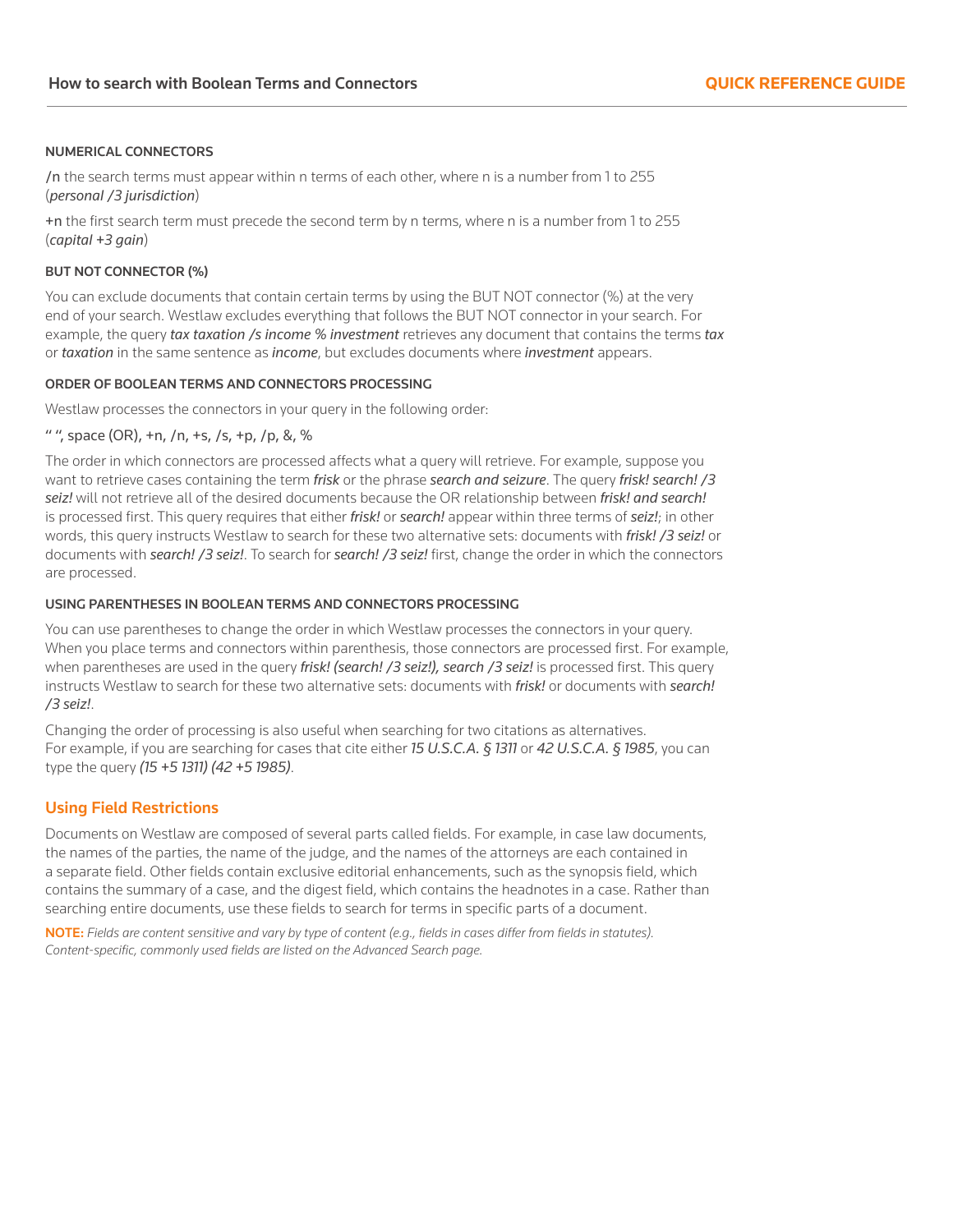### NUMERICAL CONNECTORS

/n the search terms must appear within n terms of each other, where n is a number from 1 to 255 (*personal /3 jurisdiction*)

+n the first search term must precede the second term by n terms, where n is a number from 1 to 255 (*capital +3 gain*)

### BUT NOT CONNECTOR (%)

You can exclude documents that contain certain terms by using the BUT NOT connector (%) at the very end of your search. Westlaw excludes everything that follows the BUT NOT connector in your search. For example, the query *tax taxation /s income % investment* retrieves any document that contains the terms *tax*  or *taxation* in the same sentence as *income*, but excludes documents where *investment* appears.

## ORDER OF BOOLEAN TERMS AND CONNECTORS PROCESSING

Westlaw processes the connectors in your query in the following order:

## " ", space (OR), +n, /n, +s, /s, +p, /p, &, %

The order in which connectors are processed affects what a query will retrieve. For example, suppose you want to retrieve cases containing the term *frisk* or the phrase *search and seizure*. The query *frisk! search! /3 seiz!* will not retrieve all of the desired documents because the OR relationship between *frisk! and search!* is processed first. This query requires that either *frisk!* or *search!* appear within three terms of *seiz!*; in other words, this query instructs Westlaw to search for these two alternative sets: documents with *frisk! /3 seiz!* or documents with *search! /3 seiz!*. To search for *search! /3 seiz!* first, change the order in which the connectors are processed.

### USING PARENTHESES IN BOOLEAN TERMS AND CONNECTORS PROCESSING

You can use parentheses to change the order in which Westlaw processes the connectors in your query. When you place terms and connectors within parenthesis, those connectors are processed first. For example, when parentheses are used in the query *frisk! (search! /3 seiz!), search /3 seiz!* is processed first. This query instructs Westlaw to search for these two alternative sets: documents with *frisk!* or documents with *search! /3 seiz!*.

Changing the order of processing is also useful when searching for two citations as alternatives. For example, if you are searching for cases that cite either *15 U.S.C.A. § 1311* or *42 U.S.C.A. § 1985*, you can type the query *(15 +5 1311) (42 +5 1985)*.

## Using Field Restrictions

Documents on Westlaw are composed of several parts called fields. For example, in case law documents, the names of the parties, the name of the judge, and the names of the attorneys are each contained in a separate field. Other fields contain exclusive editorial enhancements, such as the synopsis field, which contains the summary of a case, and the digest field, which contains the headnotes in a case. Rather than searching entire documents, use these fields to search for terms in specific parts of a document.

NOTE: *Fields are content sensitive and vary by type of content (e.g., fields in cases differ from fields in statutes). Content-specific, commonly used fields are listed on the Advanced Search page.*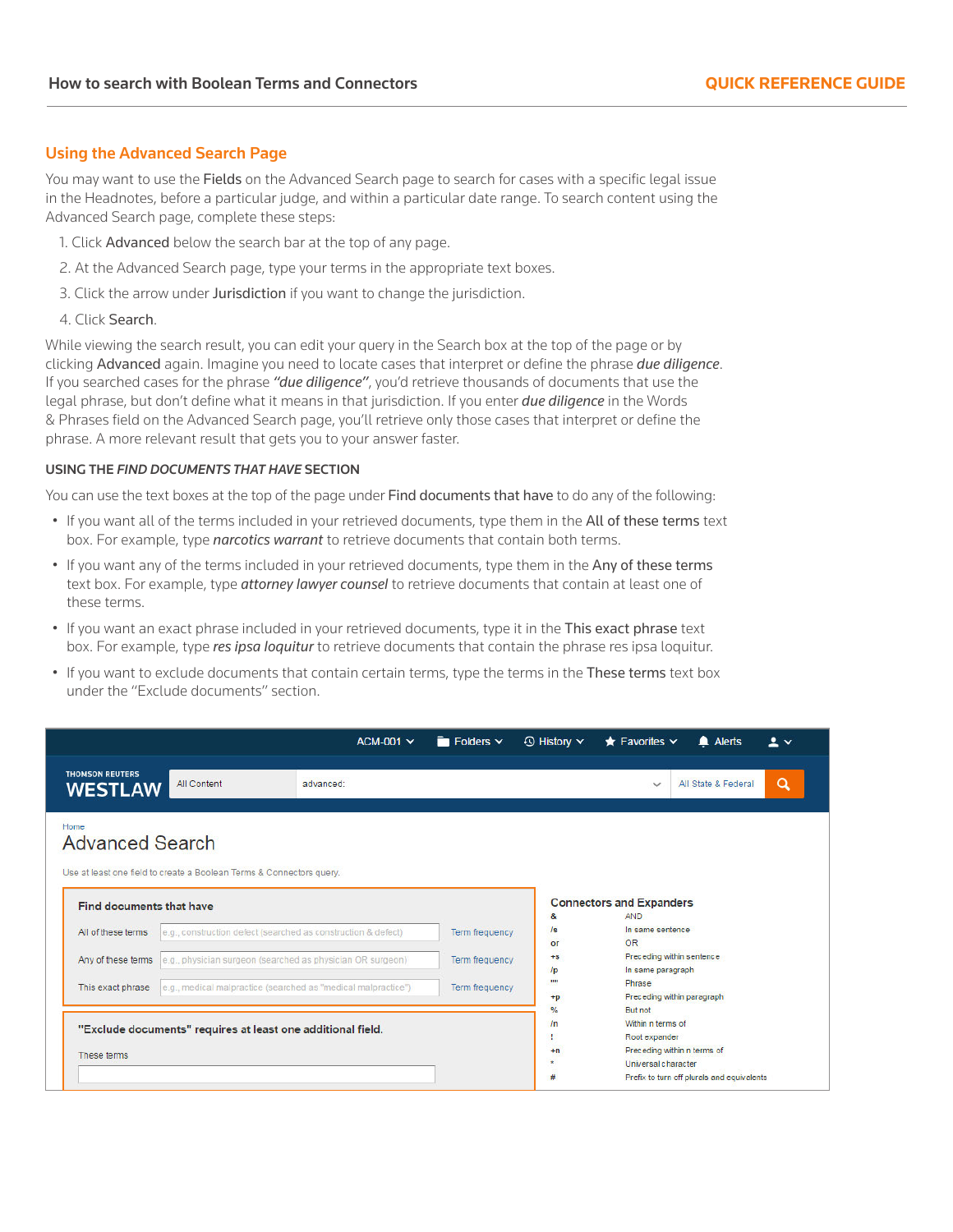# Using the Advanced Search Page

You may want to use the Fields on the Advanced Search page to search for cases with a specific legal issue in the Headnotes, before a particular judge, and within a particular date range. To search content using the Advanced Search page, complete these steps:

- 1. Click Advanced below the search bar at the top of any page.
- 2. At the Advanced Search page, type your terms in the appropriate text boxes.
- 3. Click the arrow under Jurisdiction if you want to change the jurisdiction.
- 4. Click Search.

While viewing the search result, you can edit your query in the Search box at the top of the page or by clicking Advanced again. Imagine you need to locate cases that interpret or define the phrase *due diligence*. If you searched cases for the phrase *"due diligence"*, you'd retrieve thousands of documents that use the legal phrase, but don't define what it means in that jurisdiction. If you enter *due diligence* in the Words & Phrases field on the Advanced Search page, you'll retrieve only those cases that interpret or define the phrase. A more relevant result that gets you to your answer faster.

## USING THE *FIND DOCUMENTS THAT HAVE* SECTION

You can use the text boxes at the top of the page under Find documents that have to do any of the following:

- If you want all of the terms included in your retrieved documents, type them in the All of these terms text box. For example, type *narcotics warrant* to retrieve documents that contain both terms.
- If you want any of the terms included in your retrieved documents, type them in the Any of these terms text box. For example, type *attorney lawyer counsel* to retrieve documents that contain at least one of these terms.
- If you want an exact phrase included in your retrieved documents, type it in the This exact phrase text box. For example, type *res ipsa loquitur* to retrieve documents that contain the phrase res ipsa loquitur.
- If you want to exclude documents that contain certain terms, type the terms in the These terms text box under the "Exclude documents" section.

|                                                             |                                                                      | $ACM-001$ $\vee$ | $\blacksquare$ Folders $\vee$ | $\odot$ History $\sim$ | $\bigstar$ Favorites $\vee$                          | Alerts                                     | $\overline{\mathbf{r}}$ $\overline{\mathbf{r}}$ |  |
|-------------------------------------------------------------|----------------------------------------------------------------------|------------------|-------------------------------|------------------------|------------------------------------------------------|--------------------------------------------|-------------------------------------------------|--|
| <b>THOMSON REUTERS</b><br><b>WESTLAW</b>                    | <b>All Content</b>                                                   | advanced:        |                               |                        | $\checkmark$                                         | All State & Federal                        | Q                                               |  |
| Home<br><b>Advanced Search</b>                              |                                                                      |                  |                               |                        |                                                      |                                            |                                                 |  |
|                                                             | Use at least one field to create a Boolean Terms & Connectors query. |                  |                               |                        |                                                      |                                            |                                                 |  |
| Find documents that have                                    |                                                                      |                  |                               | &                      | <b>Connectors and Expanders</b><br><b>AND</b>        |                                            |                                                 |  |
| All of these terms                                          | e.g., construction defect (searched as construction & defect)        |                  | Term frequency                | /s                     | In same sentence<br>OR<br>or                         |                                            |                                                 |  |
| Any of these terms                                          | e.g., physician surgeon (searched as physician OR surgeon)           |                  | <b>Term frequency</b>         | $+s$                   | Preceding within sentence<br>In same paragraph<br>/p |                                            |                                                 |  |
| This exact phrase                                           | e.g., medical malpractice (searched as "medical malpractice")        |                  | Term frequency                | 1111<br>$+p$           | Phrase                                               | Preceding within paragraph                 |                                                 |  |
|                                                             |                                                                      |                  |                               | $\frac{9}{6}$          | But not                                              |                                            |                                                 |  |
| "Exclude documents" requires at least one additional field. |                                                                      |                  |                               |                        | Within n terms of<br>/n<br>Root expander             |                                            |                                                 |  |
| These terms                                                 |                                                                      |                  |                               | $+n$                   |                                                      | Preceding within n terms of                |                                                 |  |
|                                                             |                                                                      |                  |                               | ٠                      | Universal character                                  |                                            |                                                 |  |
|                                                             |                                                                      |                  |                               | #                      |                                                      | Prefix to turn off plurals and equivalents |                                                 |  |